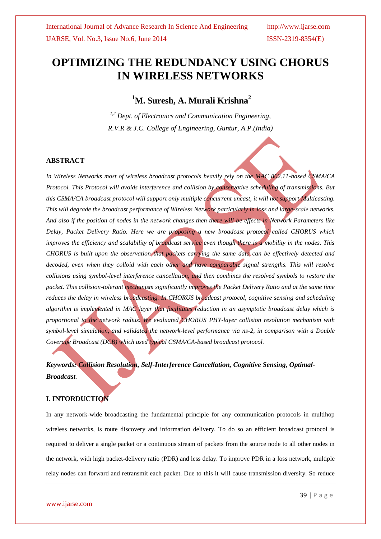# **OPTIMIZING THE REDUNDANCY USING CHORUS IN WIRELESS NETWORKS**

# **<sup>1</sup>M. Suresh, A. Murali Krishna<sup>2</sup>**

*1,2 Dept. of Electronics and Communication Engineering, R.V.R & J.C. College of Engineering, Guntur, A.P.(India)*

### **ABSTRACT**

*In Wireless Networks most of wireless broadcast protocols heavily rely on the MAC 802.11-based CSMA/CA Protocol. This Protocol will avoids interference and collision by conservative scheduling of transmissions. But this CSMA/CA broadcast protocol will support only multiple concurrent uncast, it will not support Multicasting. This will degrade the broadcast performance of Wireless Network particularly in loss and large-scale networks. And also if the position of nodes in the network changes then there will be effects in Network Parameters like Delay, Packet Delivery Ratio. Here we are proposing a new broadcast protocol called CHORUS which improves the efficiency and scalability of broadcast service even though there is a mobility in the nodes. This CHORUS is built upon the observation that packets carrying the same data can be effectively detected and*  decoded, even when they colloid with each other and have comparable signal strengths. This will resolve *collisions using symbol-level interference cancellation, and then combines the resolved symbols to restore the packet. This collision-tolerant mechanism significantly improves the Packet Delivery Ratio and at the same time reduces the delay in wireless broadcasting. In CHORUS broadcast protocol, cognitive sensing and scheduling algorithm is implemented in MAC layer that facilitates reduction in an asymptotic broadcast delay which is proportional to the network radius. We evaluated CHORUS PHY-layer collision resolution mechanism with symbol-level simulation, and validated the network-level performance via ns-2, in comparison with a Double Coverage Broadcast (DCB) which used typical CSMA/CA-based broadcast protocol.*

*Keywords: Collision Resolution, Self-Interference Cancellation, Cognitive Sensing, Optimal-Broadcast.*

### **I. INTORDUCTION**

In any network-wide broadcasting the fundamental principle for any communication protocols in multihop wireless networks, is route discovery and information delivery. To do so an efficient broadcast protocol is required to deliver a single packet or a continuous stream of packets from the source node to all other nodes in the network, with high packet-delivery ratio (PDR) and less delay. To improve PDR in a loss network, multiple relay nodes can forward and retransmit each packet. Due to this it will cause transmission diversity. So reduce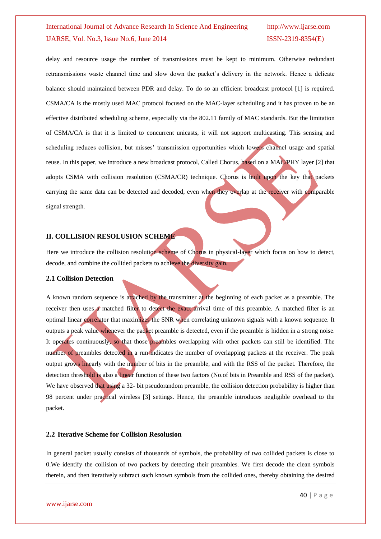delay and resource usage the number of transmissions must be kept to minimum. Otherwise redundant retransmissions waste channel time and slow down the packet's delivery in the network. Hence a delicate balance should maintained between PDR and delay. To do so an efficient broadcast protocol [1] is required. CSMA/CA is the mostly used MAC protocol focused on the MAC-layer scheduling and it has proven to be an effective distributed scheduling scheme, especially via the 802.11 family of MAC standards. But the limitation of CSMA/CA is that it is limited to concurrent unicasts, it will not support multicasting. This sensing and scheduling reduces collision, but misses' transmission opportunities which lowers channel usage and spatial reuse. In this paper, we introduce a new broadcast protocol, Called Chorus, based on a MAC/PHY layer [2] that adopts CSMA with collision resolution (CSMA/CR) technique. Chorus is built upon the key that packets carrying the same data can be detected and decoded, even when they overlap at the receiver with comparable signal strength.

#### **II. COLLISION RESOLUSION SCHEME**

Here we introduce the collision resolution scheme of Chorus in physical-layer which focus on how to detect, decode, and combine the collided packets to achieve the diversity gain.

#### **2.1 Collision Detection**

A known random sequence is attached by the transmitter at the beginning of each packet as a preamble. The receiver then uses a matched filter to detect the exact arrival time of this preamble. A matched filter is an optimal linear correlator that maximizes the SNR when correlating unknown signals with a known sequence. It outputs a peak value whenever the packet preamble is detected, even if the preamble is hidden in a strong noise. It operates continuously, so that those preambles overlapping with other packets can still be identified. The number of preambles detected in a run indicates the number of overlapping packets at the receiver. The peak output grows linearly with the number of bits in the preamble, and with the RSS of the packet. Therefore, the detection threshold is also a linear function of these two factors (No.of bits in Preamble and RSS of the packet). We have observed that using a 32- bit pseudorandom preamble, the collision detection probability is higher than 98 percent under practical wireless [3] settings. Hence, the preamble introduces negligible overhead to the packet.

#### **2.2 Iterative Scheme for Collision Resolusion**

In general packet usually consists of thousands of symbols, the probability of two collided packets is close to 0.We identify the collision of two packets by detecting their preambles. We first decode the clean symbols therein, and then iteratively subtract such known symbols from the collided ones, thereby obtaining the desired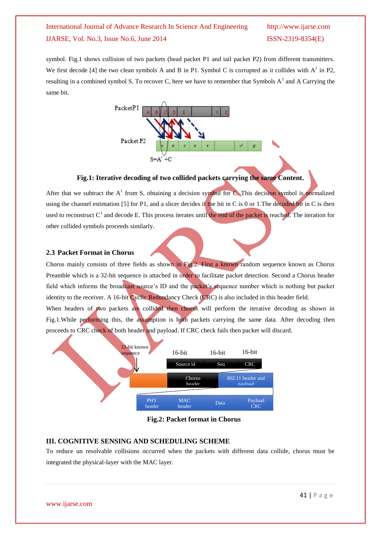symbol. Fig.1 shows collision of two packets (head packet P1 and tail packet P2) from different transmitters. We first decode [4] the two clean symbols A and B in P1. Symbol C is corrupted as it collides with  $A^1$  in P2, resulting in a combined symbol S. To recover C, here we have to remember that Symbols  $A<sup>1</sup>$  and A Carrying the same bit.



#### **Fig.1: Iterative decoding of two collided packets carrying the same Content.**

After that we subtract the  $A<sup>1</sup>$  from S, obtaining a decision symbol for C. This decision symbol is normalized using the channel estimation [5] for P1, and a slicer decides if the bit in C is 0 or 1. The decoded bit in C is then used to reconstruct  $C<sup>1</sup>$  and decode E. This process iterates until the end of the packet is reached. The iteration for other collided symbols proceeds similarly.

#### **2.3 Packet Format in Chorus**

Chorus mainly consists of three fields as shown in Fig.2. First a known random sequence known as Chorus Preamble which is a 32-bit sequence is attached in order to facilitate packet detection. Second a Chorus header field which informs the broadcast source's ID and the packet's sequence number which is nothing but packet identity to the receiver. A 16-bit Cyclic Redundancy Check (CRC) is also included in this header field.

When headers of two packets are collided then chorus will perform the iterative decoding as shown in Fig.1.While performing this, the assumption is both packets carrying the same data. After decoding then proceeds to CRC check of both header and payload. If CRC check fails then packet will discard.



**Fig.2: Packet format in Chorus**

#### **III. COGNITIVE SENSING AND SCHEDULING SCHEME**

To reduce un resolvable collisions occurred when the packets with different data collide, chorus must be integrated the physical-layer with the MAC layer.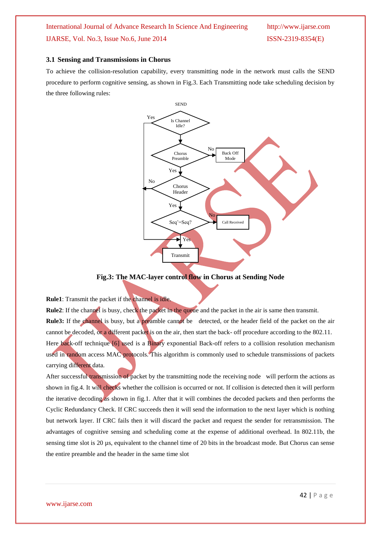#### **3.1 Sensing and Transmissions in Chorus**

To achieve the collision-resolution capability, every transmitting node in the network must calls the SEND procedure to perform cognitive sensing, as shown in Fig.3. Each Transmitting node take scheduling decision by the three following rules:



**Fig.3: The MAC-layer control flow in Chorus at Sending Node**

#### **Rule1**: Transmit the packet if the channel is idle.

**Rule2**: If the channel is busy, check the packet in the queue and the packet in the air is same then transmit. **Rule3:** If the channel is busy, but a preamble cannot be detected, or the header field of the packet on the air cannot be decoded, or a different packet is on the air, then start the back- off procedure according to the 802.11. Here back-off technique [6] used is a Binary exponential Back-off refers to a collision resolution mechanism used in random access MAC protocols. This algorithm is commonly used to schedule transmissions of packets carrying different data.

After successful transmission of packet by the transmitting node the receiving node will perform the actions as shown in fig.4. It will checks whether the collision is occurred or not. If collision is detected then it will perform the iterative decoding as shown in fig.1. After that it will combines the decoded packets and then performs the Cyclic Redundancy Check. If CRC succeeds then it will send the information to the next layer which is nothing but network layer. If CRC fails then it will discard the packet and request the sender for retransmission. The advantages of cognitive sensing and scheduling come at the expense of additional overhead. In 802.11b, the sensing time slot is 20  $\mu$ s, equivalent to the channel time of 20 bits in the broadcast mode. But Chorus can sense the entire preamble and the header in the same time slot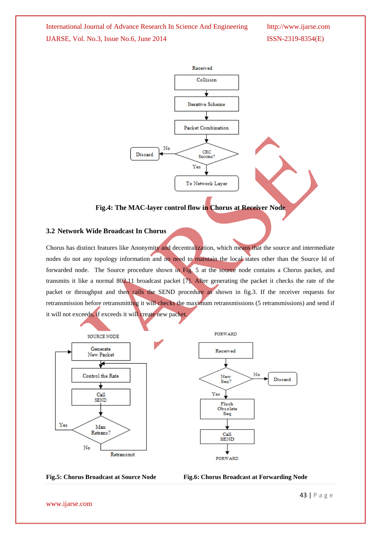

#### **Fig.4: The MAC-layer control flow in Chorus at Receiver Node**

#### **3.2 Network Wide Broadcast In Chorus**

Chorus has distinct features like Anonymity and decentralization, which means that the source and intermediate nodes do not any topology information and no need to maintain the local states other than the Source Id of forwarded node. The Source procedure shown in Fig. 5 at the source node contains a Chorus packet, and transmits it like a normal 802.11 broadcast packet [7]. After generating the packet it checks the rate of the packet or throughput and then calls the SEND procedure as shown in fig.3. If the receiver requests for retransmission before retransmitting it will checks the maximum retransmissions (5 retransmissions) and send if it will not exceeds, if exceeds it will create new packet.





www.ijarse.com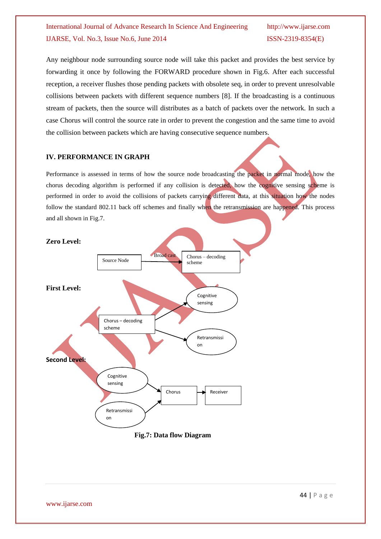Any neighbour node surrounding source node will take this packet and provides the best service by forwarding it once by following the FORWARD procedure shown in Fig.6. After each successful reception, a receiver flushes those pending packets with obsolete seq, in order to prevent unresolvable collisions between packets with different sequence numbers [8]. If the broadcasting is a continuous stream of packets, then the source will distributes as a batch of packets over the network. In such a case Chorus will control the source rate in order to prevent the congestion and the same time to avoid the collision between packets which are having consecutive sequence numbers.

## **IV. PERFORMANCE IN GRAPH**

Performance is assessed in terms of how the source node broadcasting the packet in normal mode, how the chorus decoding algorithm is performed if any collision is detected, how the cognitive sensing scheme is performed in order to avoid the collisions of packets carrying different data, at this situation how the nodes follow the standard 802.11 back off schemes and finally when the retransmission are happened. This process and all shown in Fig.7.



## **Fig.7: Data flow Diagram**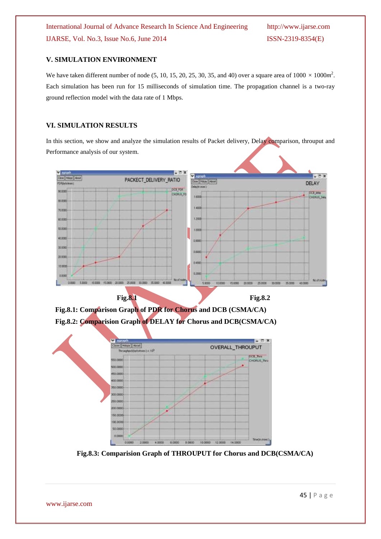### **V. SIMULATION ENVIRONMENT**

We have taken different number of node  $(5, 10, 15, 20, 25, 30, 35,$  and 40) over a square area of  $1000 \times 1000m^2$ . Each simulation has been run for 15 milliseconds of simulation time. The propagation channel is a two-ray ground reflection model with the data rate of 1 Mbps.

#### **VI. SIMULATION RESULTS**

In this section, we show and analyze the simulation results of Packet delivery, Delay comparison, throuput and Performance analysis of our system.



**Fig.8.1: Comparison Graph of PDR for Chorus and DCB (CSMA/CA) Fig.8.2: Comparision Graph of DELAY for Chorus and DCB(CSMA/CA)**



**Fig.8.3: Comparision Graph of THROUPUT for Chorus and DCB(CSMA/CA)**

www.ijarse.com